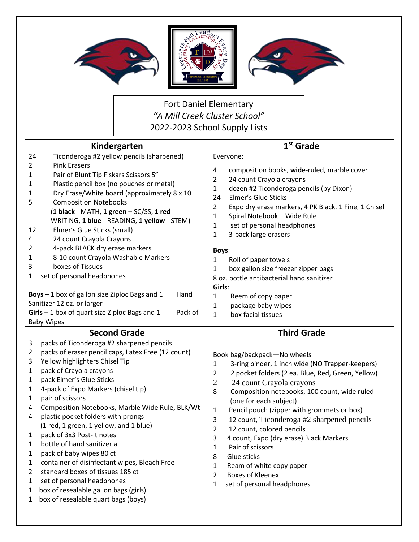

Fort Daniel Elementary *"A Mill Creek Cluster School"* 2022-2023 School Supply Lists

| Kindergarten   |                                                                                                 | 1 <sup>st</sup> Grade                                                                     |
|----------------|-------------------------------------------------------------------------------------------------|-------------------------------------------------------------------------------------------|
| 24             | Ticonderoga #2 yellow pencils (sharpened)                                                       | Everyone:                                                                                 |
| $\overline{2}$ | <b>Pink Erasers</b>                                                                             | 4<br>composition books, wide-ruled, marble cover                                          |
| 1              | Pair of Blunt Tip Fiskars Scissors 5"                                                           | $\overline{2}$<br>24 count Crayola crayons                                                |
| 1              | Plastic pencil box (no pouches or metal)                                                        | dozen #2 Ticonderoga pencils (by Dixon)<br>$\mathbf{1}$                                   |
| 1              | Dry Erase/White board (approximately 8 x 10                                                     | Elmer's Glue Sticks<br>24                                                                 |
| 5              | <b>Composition Notebooks</b>                                                                    | $\overline{2}$<br>Expo dry erase markers, 4 PK Black. 1 Fine, 1 Chisel                    |
|                | (1 black - MATH, 1 green - SC/SS, 1 red -                                                       | Spiral Notebook - Wide Rule<br>$\mathbf{1}$                                               |
|                | WRITING, 1 blue - READING, 1 yellow - STEM)                                                     | $\mathbf{1}$<br>set of personal headphones                                                |
| 12             | Elmer's Glue Sticks (small)                                                                     | 1<br>3-pack large erasers                                                                 |
| 4              | 24 count Crayola Crayons                                                                        |                                                                                           |
| 2              | 4-pack BLACK dry erase markers                                                                  | Boys:                                                                                     |
| 1              | 8-10 count Crayola Washable Markers                                                             | 1<br>Roll of paper towels                                                                 |
| 3              | boxes of Tissues                                                                                | box gallon size freezer zipper bags<br>$\mathbf{1}$                                       |
| 1              | set of personal headphones                                                                      | 8 oz. bottle antibacterial hand sanitizer                                                 |
|                | Hand                                                                                            | Girls:                                                                                    |
|                | Boys - 1 box of gallon size Ziploc Bags and 1<br>Sanitizer 12 oz. or larger                     | Reem of copy paper<br>1                                                                   |
|                | $Girls - 1$ box of quart size Ziploc Bags and 1<br>Pack of                                      | package baby wipes<br>1                                                                   |
|                | <b>Baby Wipes</b>                                                                               | box facial tissues<br>$\mathbf{1}$                                                        |
|                |                                                                                                 |                                                                                           |
|                |                                                                                                 |                                                                                           |
|                | <b>Second Grade</b>                                                                             | <b>Third Grade</b>                                                                        |
| 3<br>2         | packs of Ticonderoga #2 sharpened pencils<br>packs of eraser pencil caps, Latex Free (12 count) |                                                                                           |
| 3              | Yellow highlighters Chisel Tip                                                                  | Book bag/backpack-No wheels                                                               |
| 1              | pack of Crayola crayons                                                                         | 3-ring binder, 1 inch wide (NO Trapper-keepers)<br>$\mathbf{1}$                           |
| 1              | pack Elmer's Glue Sticks                                                                        | 2<br>2 pocket folders (2 ea. Blue, Red, Green, Yellow)                                    |
| 1              | 4-pack of Expo Markers (chisel tip)                                                             | $\overline{2}$<br>24 count Crayola crayons<br>8                                           |
| 1              | pair of scissors                                                                                | Composition notebooks, 100 count, wide ruled                                              |
| 4              | Composition Notebooks, Marble Wide Rule, BLK/Wt                                                 | (one for each subject)<br>$\mathbf{1}$                                                    |
| 4              | plastic pocket folders with prongs                                                              | Pencil pouch (zipper with grommets or box)<br>$\mathsf{3}$                                |
|                | (1 red, 1 green, 1 yellow, and 1 blue)                                                          | 12 count, Ticonderoga #2 sharpened pencils<br>12 count, colored pencils<br>$\overline{2}$ |
| 1              | pack of 3x3 Post-It notes                                                                       | 3<br>4 count, Expo (dry erase) Black Markers                                              |
| 1              | bottle of hand sanitizer a                                                                      | 1<br>Pair of scissors                                                                     |
| 1              | pack of baby wipes 80 ct                                                                        | Glue sticks<br>8                                                                          |
| 1              | container of disinfectant wipes, Bleach Free                                                    | Ream of white copy paper<br>1                                                             |
| 2              | standard boxes of tissues 185 ct                                                                | <b>Boxes of Kleenex</b><br>$\overline{2}$                                                 |
| 1              | set of personal headphones                                                                      | set of personal headphones<br>1                                                           |
| 1              | box of resealable gallon bags (girls)                                                           |                                                                                           |
| 1              | box of resealable quart bags (boys)                                                             |                                                                                           |